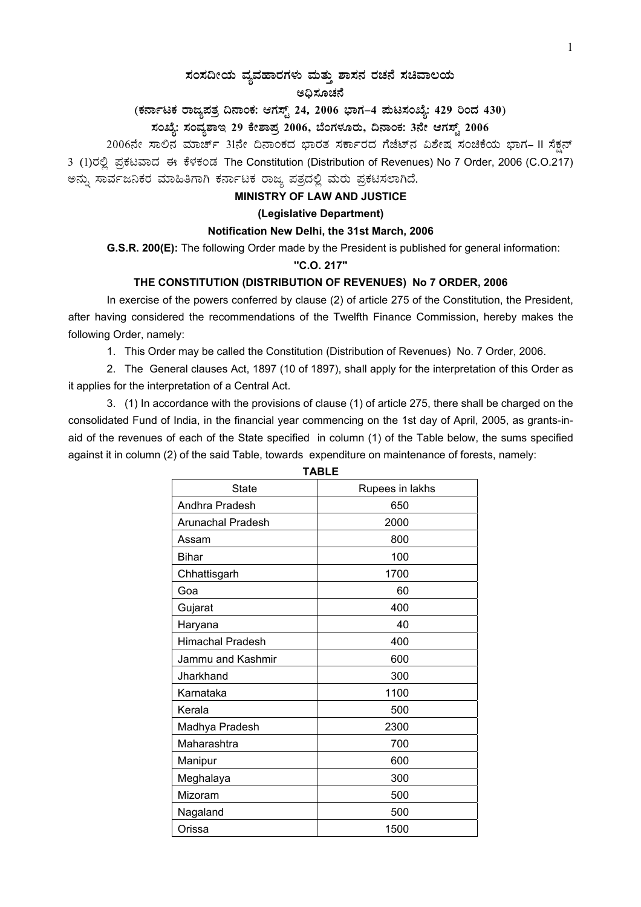# $\,$ ಸಂಸದೀಯ ವ್ಯವಹಾರಗಳು ಮತ್ತು ಶಾಸನ ರಚನೆ ಸಚಿವಾಲಯ

#### ಅಧಿಸೂಚನೆ

(ಕರ್ನಾಟಕ ರಾಜ್ಯಪತ್ರ ದಿನಾಂಕ: ಆಗಸ್ಟ್ 24, 2006 ಭಾಗ–4 **ಮಟಸಂಖ್ಯೆ: 429 ರಿಂದ 430**)

# ಸಂಖ್ಯೆ: ಸಂವ್ಯಶಾಇ 29 ಕೇಶಾಪ್ರ 2006, ಬೆಂಗಳೂರು, ದಿನಾಂಕ: 3ನೇ ಆಗಸ್ಟ್ 2006

2006ನೇ ಸಾಲಿನ ಮಾರ್ಚ್ 31ನೇ ದಿನಾಂಕದ ಭಾರತ ಸರ್ಕಾರದ ಗೆಜೆಟ್ನ ವಿಶೇಷ ಸಂಚಿಕೆಯ ಭಾಗ– II ಸೆಕ್ಷನ್ 3 (1)ರಲ್ಲಿ ಪ್ರಕಟವಾದ ಈ ಕೆಳಕಂಡ The Constitution (Distribution of Revenues) No 7 Order, 2006 (C.O.217) ಅನ್ನು ಸಾರ್ವಜನಿಕರ ಮಾಹಿತಿಗಾಗಿ ಕರ್ನಾಟಕ ರಾಜ್ಯ ಪತ್ರದಲ್ಲಿ ಮರು ಪ್ರಕಟಿಸಲಾಗಿದೆ.

#### **MINISTRY OF LAW AND JUSTICE**

#### **(Legislative Department)**

#### **Notification New Delhi, the 31st March, 2006**

 **G.S.R. 200(E):** The following Order made by the President is published for general information:

### **''C.O. 217''**

## **THE CONSTITUTION (DISTRIBUTION OF REVENUES) No 7 ORDER, 2006**

In exercise of the powers conferred by clause (2) of article 275 of the Constitution, the President, after having considered the recommendations of the Twelfth Finance Commission, hereby makes the following Order, namely:

1. This Order may be called the Constitution (Distribution of Revenues) No. 7 Order, 2006.

2. The General clauses Act, 1897 (10 of 1897), shall apply for the interpretation of this Order as it applies for the interpretation of a Central Act.

3. (1) In accordance with the provisions of clause (1) of article 275, there shall be charged on the consolidated Fund of India, in the financial year commencing on the 1st day of April, 2005, as grants-inaid of the revenues of each of the State specified in column (1) of the Table below, the sums specified against it in column (2) of the said Table, towards expenditure on maintenance of forests, namely:

| <b>State</b>            | Rupees in lakhs |
|-------------------------|-----------------|
| Andhra Pradesh          | 650             |
| Arunachal Pradesh       | 2000            |
| Assam                   | 800             |
| Bihar                   | 100             |
| Chhattisgarh            | 1700            |
| Goa                     | 60              |
| Gujarat                 | 400             |
| Haryana                 | 40              |
| <b>Himachal Pradesh</b> | 400             |
| Jammu and Kashmir       | 600             |
| Jharkhand               | 300             |
| Karnataka               | 1100            |
| Kerala                  | 500             |
| Madhya Pradesh          | 2300            |
| Maharashtra             | 700             |
| Manipur                 | 600             |
| Meghalaya               | 300             |
| Mizoram                 | 500             |
| Nagaland                | 500             |
| Orissa                  | 1500            |

**TABLE**